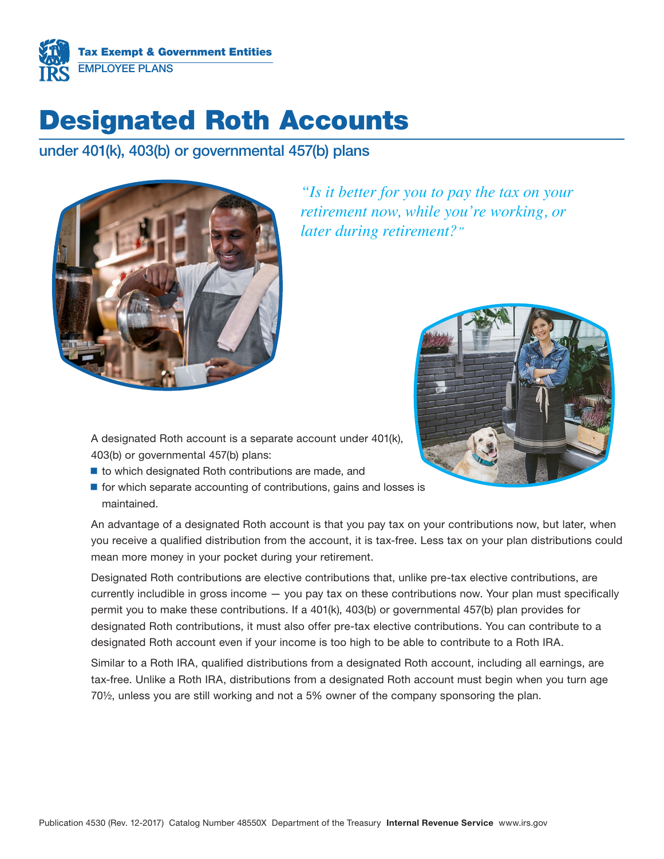

# Designated Roth Accounts

under 401(k), 403(b) or governmental 457(b) plans



*"Is it better for you to pay the tax on your retirement now, while you're working, or later during retirement?"*



A designated Roth account is a separate account under 401(k), 403(b) or governmental 457(b) plans:

- $\blacksquare$  to which designated Roth contributions are made, and
- $\blacksquare$  for which separate accounting of contributions, gains and losses is maintained.

An advantage of a designated Roth account is that you pay tax on your contributions now, but later, when you receive a qualified distribution from the account, it is tax-free. Less tax on your plan distributions could mean more money in your pocket during your retirement.

Designated Roth contributions are elective contributions that, unlike pre-tax elective contributions, are currently includible in gross income — you pay tax on these contributions now. Your plan must specifically permit you to make these contributions. If a 401(k), 403(b) or governmental 457(b) plan provides for designated Roth contributions, it must also offer pre-tax elective contributions. You can contribute to a designated Roth account even if your income is too high to be able to contribute to a Roth IRA.

Similar to a Roth IRA, qualified distributions from a designated Roth account, including all earnings, are tax-free. Unlike a Roth IRA, distributions from a designated Roth account must begin when you turn age 70½, unless you are still working and not a 5% owner of the company sponsoring the plan.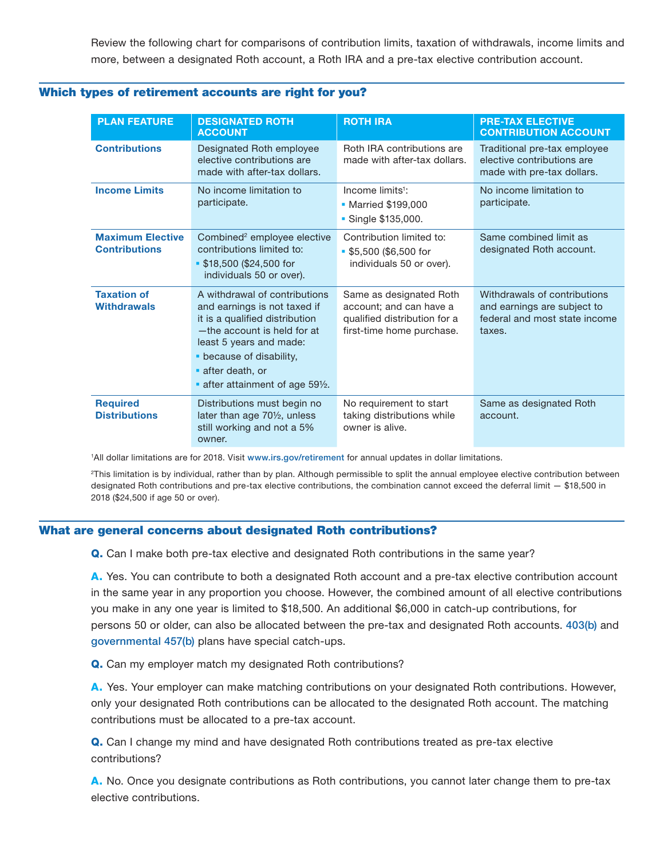Review the following chart for comparisons of contribution limits, taxation of withdrawals, income limits and more, between a designated Roth account, a Roth IRA and a pre-tax elective contribution account.

| <b>PLAN FEATURE</b>                             | <b>DESIGNATED ROTH</b><br><b>ACCOUNT</b>                                                                                                                                                                                                   | <b>ROTH IRA</b>                                                                                                 | <b>PRE-TAX ELECTIVE</b><br><b>CONTRIBUTION ACCOUNT</b>                                                 |
|-------------------------------------------------|--------------------------------------------------------------------------------------------------------------------------------------------------------------------------------------------------------------------------------------------|-----------------------------------------------------------------------------------------------------------------|--------------------------------------------------------------------------------------------------------|
| <b>Contributions</b>                            | Designated Roth employee<br>elective contributions are<br>made with after-tax dollars.                                                                                                                                                     | Roth IRA contributions are<br>made with after-tax dollars.                                                      | Traditional pre-tax employee<br>elective contributions are<br>made with pre-tax dollars.               |
| <b>Income Limits</b>                            | No income limitation to<br>participate.                                                                                                                                                                                                    | Income $limits1$ :<br>• Married \$199,000<br>• Single \$135,000.                                                | No income limitation to<br>participate.                                                                |
| <b>Maximum Elective</b><br><b>Contributions</b> | Combined <sup>2</sup> employee elective<br>contributions limited to:<br>\$18,500 (\$24,500 for<br>individuals 50 or over).                                                                                                                 | Contribution limited to:<br>\$5,500 (\$6,500 for<br>individuals 50 or over).                                    | Same combined limit as<br>designated Roth account.                                                     |
| <b>Taxation of</b><br><b>Withdrawals</b>        | A withdrawal of contributions<br>and earnings is not taxed if<br>it is a qualified distribution<br>-the account is held for at<br>least 5 years and made:<br>• because of disability,<br>after death, or<br>after attainment of age 591/2. | Same as designated Roth<br>account; and can have a<br>qualified distribution for a<br>first-time home purchase. | Withdrawals of contributions<br>and earnings are subject to<br>federal and most state income<br>taxes. |
| <b>Required</b><br><b>Distributions</b>         | Distributions must begin no<br>later than age 701/2, unless<br>still working and not a 5%<br>owner.                                                                                                                                        | No requirement to start<br>taking distributions while<br>owner is alive.                                        | Same as designated Roth<br>account.                                                                    |

## Which types of retirement accounts are right for you?

1 All dollar limitations are for 2018. Visit [www.irs.gov/retirement](https://www.irs.gov/retirement) for annual updates in dollar limitations.

2This limitation is by individual, rather than by plan. Although permissible to split the annual employee elective contribution between designated Roth contributions and pre-tax elective contributions, the combination cannot exceed the deferral limit — \$18,500 in 2018 (\$24,500 if age 50 or over).

## What are general concerns about designated Roth contributions?

Q. Can I make both pre-tax elective and designated Roth contributions in the same year?

A. Yes. You can contribute to both a designated Roth account and a pre-tax elective contribution account in the same year in any proportion you choose. However, the combined amount of all elective contributions you make in any one year is limited to \$18,500. An additional \$6,000 in catch-up contributions, for persons 50 or older, can also be allocated between the pre-tax and designated Roth accounts. [403\(b\)](https://www.irs.gov/retirement-plans/plan-participant-employee/retirement-topics-403b-contribution-limits) and [governmental 457\(b\)](https://www.irs.gov/retirement-plans/irc-457b-deferred-compensation-plans) plans have special catch-ups.

Q. Can my employer match my designated Roth contributions?

A. Yes. Your employer can make matching contributions on your designated Roth contributions. However, only your designated Roth contributions can be allocated to the designated Roth account. The matching contributions must be allocated to a pre-tax account.

Q. Can I change my mind and have designated Roth contributions treated as pre-tax elective contributions?

A. No. Once you designate contributions as Roth contributions, you cannot later change them to pre-tax elective contributions.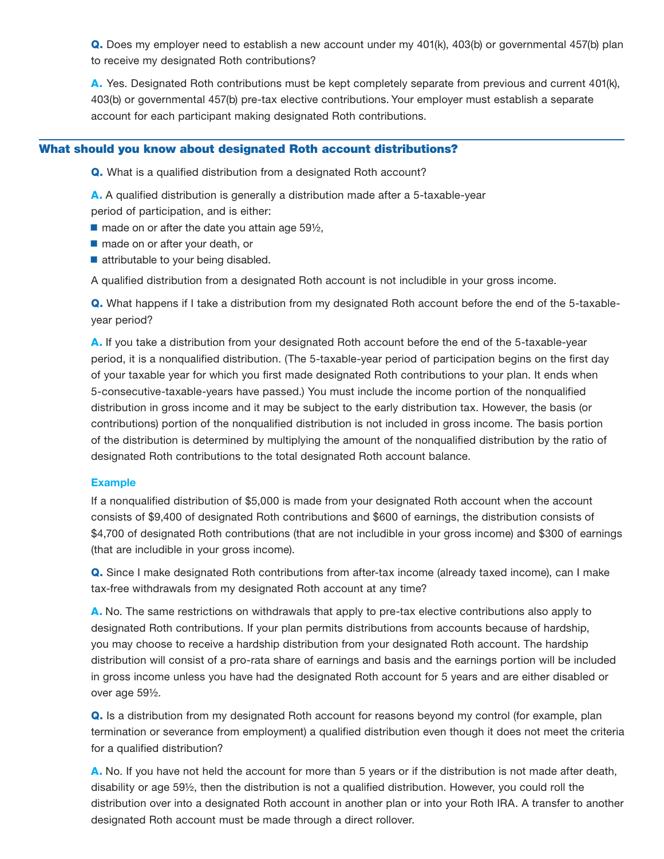Q. Does my employer need to establish a new account under my 401(k), 403(b) or governmental 457(b) plan to receive my designated Roth contributions?

A. Yes. Designated Roth contributions must be kept completely separate from previous and current 401(k), 403(b) or governmental 457(b) pre-tax elective contributions. Your employer must establish a separate account for each participant making designated Roth contributions.

# What should you know about designated Roth account distributions?

Q. What is a qualified distribution from a designated Roth account?

A. A qualified distribution is generally a distribution made after a 5-taxable-year

period of participation, and is either:

 $\blacksquare$  made on or after the date you attain age 59 $\frac{1}{2}$ ,

- made on or after your death, or
- attributable to your being disabled.

A qualified distribution from a designated Roth account is not includible in your gross income.

Q. What happens if I take a distribution from my designated Roth account before the end of the 5-taxableyear period?

A. If you take a distribution from your designated Roth account before the end of the 5-taxable-year period, it is a nonqualified distribution. (The 5-taxable-year period of participation begins on the first day of your taxable year for which you first made designated Roth contributions to your plan. It ends when 5-consecutive-taxable-years have passed.) You must include the income portion of the nonqualified distribution in gross income and it may be subject to the early distribution tax. However, the basis (or contributions) portion of the nonqualified distribution is not included in gross income. The basis portion of the distribution is determined by multiplying the amount of the nonqualified distribution by the ratio of designated Roth contributions to the total designated Roth account balance.

# Example

If a nonqualified distribution of \$5,000 is made from your designated Roth account when the account consists of \$9,400 of designated Roth contributions and \$600 of earnings, the distribution consists of \$4,700 of designated Roth contributions (that are not includible in your gross income) and \$300 of earnings (that are includible in your gross income).

Q. Since I make designated Roth contributions from after-tax income (already taxed income), can I make tax-free withdrawals from my designated Roth account at any time?

A. No. The same restrictions on withdrawals that apply to pre-tax elective contributions also apply to designated Roth contributions. If your plan permits distributions from accounts because of hardship, you may choose to receive a hardship distribution from your designated Roth account. The hardship distribution will consist of a pro-rata share of earnings and basis and the earnings portion will be included in gross income unless you have had the designated Roth account for 5 years and are either disabled or over age 59½.

**Q.** Is a distribution from my designated Roth account for reasons beyond my control (for example, plan termination or severance from employment) a qualified distribution even though it does not meet the criteria for a qualified distribution?

A. No. If you have not held the account for more than 5 years or if the distribution is not made after death, disability or age 59½, then the distribution is not a qualified distribution. However, you could roll the distribution over into a designated Roth account in another plan or into your Roth IRA. A transfer to another designated Roth account must be made through a direct rollover.